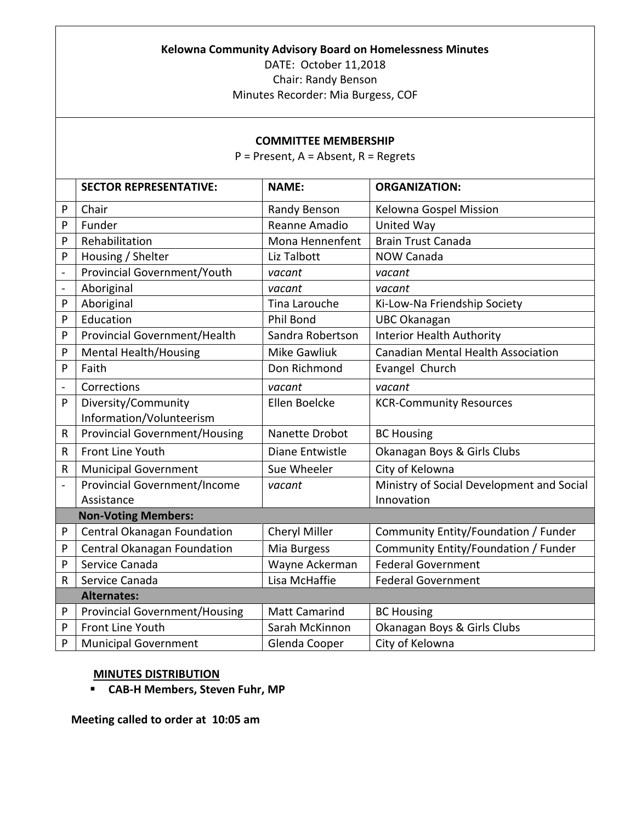## **Kelowna Community Advisory Board on Homelessness Minutes**

DATE: October 11,2018 Chair: Randy Benson

## Minutes Recorder: Mia Burgess, COF

## **COMMITTEE MEMBERSHIP**

P = Present, A = Absent, R = Regrets

|                          | <b>SECTOR REPRESENTATIVE:</b>        | <b>NAME:</b>         | <b>ORGANIZATION:</b>                      |  |  |  |
|--------------------------|--------------------------------------|----------------------|-------------------------------------------|--|--|--|
| P                        | Chair                                | Randy Benson         | Kelowna Gospel Mission                    |  |  |  |
| P                        | Funder                               | Reanne Amadio        | <b>United Way</b>                         |  |  |  |
| P                        | Rehabilitation                       | Mona Hennenfent      | <b>Brain Trust Canada</b>                 |  |  |  |
| P                        | Housing / Shelter                    | Liz Talbott          | <b>NOW Canada</b>                         |  |  |  |
| $\frac{1}{2}$            | Provincial Government/Youth          | vacant               | vacant                                    |  |  |  |
| $\overline{a}$           | Aboriginal                           | vacant               | vacant                                    |  |  |  |
| P                        | Aboriginal                           | Tina Larouche        | Ki-Low-Na Friendship Society              |  |  |  |
| P                        | Education                            | Phil Bond            | <b>UBC Okanagan</b>                       |  |  |  |
| P                        | Provincial Government/Health         | Sandra Robertson     | <b>Interior Health Authority</b>          |  |  |  |
| P                        | <b>Mental Health/Housing</b>         | <b>Mike Gawliuk</b>  | <b>Canadian Mental Health Association</b> |  |  |  |
| P                        | Faith                                | Don Richmond         | Evangel Church                            |  |  |  |
| $\overline{\phantom{a}}$ | Corrections                          | vacant               | vacant                                    |  |  |  |
| P                        | Diversity/Community                  | Ellen Boelcke        | <b>KCR-Community Resources</b>            |  |  |  |
|                          | Information/Volunteerism             |                      |                                           |  |  |  |
| $\mathsf{R}$             | <b>Provincial Government/Housing</b> | Nanette Drobot       | <b>BC Housing</b>                         |  |  |  |
| R                        | Front Line Youth                     | Diane Entwistle      | Okanagan Boys & Girls Clubs               |  |  |  |
| $\sf R$                  | <b>Municipal Government</b>          | Sue Wheeler          | City of Kelowna                           |  |  |  |
|                          | <b>Provincial Government/Income</b>  | vacant               | Ministry of Social Development and Social |  |  |  |
|                          | Assistance                           |                      | Innovation                                |  |  |  |
|                          | <b>Non-Voting Members:</b>           |                      |                                           |  |  |  |
| P                        | Central Okanagan Foundation          | Cheryl Miller        | Community Entity/Foundation / Funder      |  |  |  |
| P                        | Central Okanagan Foundation          | Mia Burgess          | Community Entity/Foundation / Funder      |  |  |  |
| P                        | Service Canada                       | Wayne Ackerman       | <b>Federal Government</b>                 |  |  |  |
| $\mathsf R$              | Service Canada                       | Lisa McHaffie        | <b>Federal Government</b>                 |  |  |  |
|                          | <b>Alternates:</b>                   |                      |                                           |  |  |  |
| P                        | <b>Provincial Government/Housing</b> | <b>Matt Camarind</b> | <b>BC Housing</b>                         |  |  |  |
| P                        | Front Line Youth                     | Sarah McKinnon       | Okanagan Boys & Girls Clubs               |  |  |  |
| P                        | <b>Municipal Government</b>          | Glenda Cooper        | City of Kelowna                           |  |  |  |

## **MINUTES DISTRIBUTION**

**CAB-H Members, Steven Fuhr, MP**

**Meeting called to order at 10:05 am**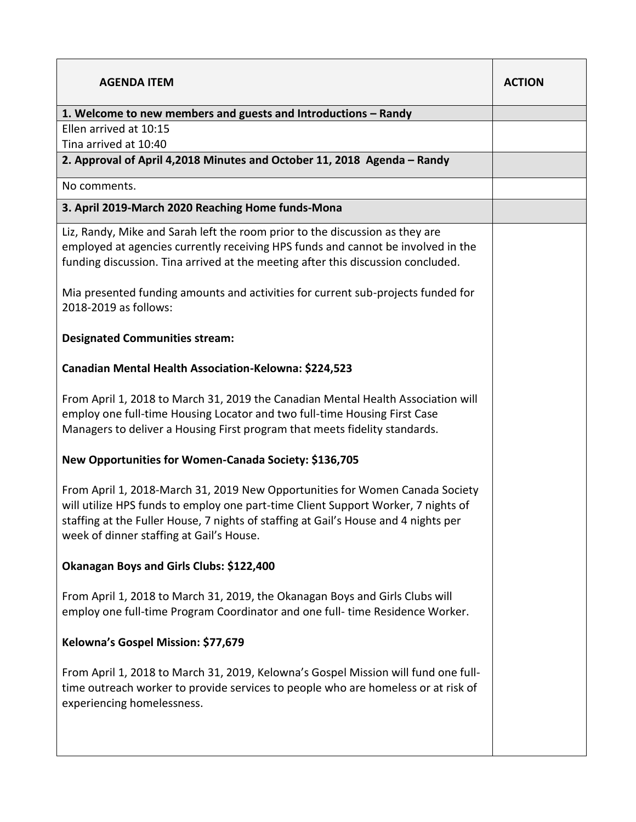| <b>AGENDA ITEM</b>                                                                                                                                                                                                                                                                                   | <b>ACTION</b> |
|------------------------------------------------------------------------------------------------------------------------------------------------------------------------------------------------------------------------------------------------------------------------------------------------------|---------------|
| 1. Welcome to new members and guests and Introductions - Randy                                                                                                                                                                                                                                       |               |
| Ellen arrived at 10:15                                                                                                                                                                                                                                                                               |               |
| Tina arrived at 10:40                                                                                                                                                                                                                                                                                |               |
| 2. Approval of April 4,2018 Minutes and October 11, 2018 Agenda - Randy                                                                                                                                                                                                                              |               |
| No comments.                                                                                                                                                                                                                                                                                         |               |
| 3. April 2019-March 2020 Reaching Home funds-Mona                                                                                                                                                                                                                                                    |               |
| Liz, Randy, Mike and Sarah left the room prior to the discussion as they are<br>employed at agencies currently receiving HPS funds and cannot be involved in the<br>funding discussion. Tina arrived at the meeting after this discussion concluded.                                                 |               |
| Mia presented funding amounts and activities for current sub-projects funded for<br>2018-2019 as follows:                                                                                                                                                                                            |               |
| <b>Designated Communities stream:</b>                                                                                                                                                                                                                                                                |               |
| Canadian Mental Health Association-Kelowna: \$224,523                                                                                                                                                                                                                                                |               |
| From April 1, 2018 to March 31, 2019 the Canadian Mental Health Association will<br>employ one full-time Housing Locator and two full-time Housing First Case<br>Managers to deliver a Housing First program that meets fidelity standards.                                                          |               |
| New Opportunities for Women-Canada Society: \$136,705                                                                                                                                                                                                                                                |               |
| From April 1, 2018-March 31, 2019 New Opportunities for Women Canada Society<br>will utilize HPS funds to employ one part-time Client Support Worker, 7 nights of<br>staffing at the Fuller House, 7 nights of staffing at Gail's House and 4 nights per<br>week of dinner staffing at Gail's House. |               |
| Okanagan Boys and Girls Clubs: \$122,400                                                                                                                                                                                                                                                             |               |
| From April 1, 2018 to March 31, 2019, the Okanagan Boys and Girls Clubs will<br>employ one full-time Program Coordinator and one full- time Residence Worker.                                                                                                                                        |               |
| Kelowna's Gospel Mission: \$77,679                                                                                                                                                                                                                                                                   |               |
| From April 1, 2018 to March 31, 2019, Kelowna's Gospel Mission will fund one full-<br>time outreach worker to provide services to people who are homeless or at risk of<br>experiencing homelessness.                                                                                                |               |
|                                                                                                                                                                                                                                                                                                      |               |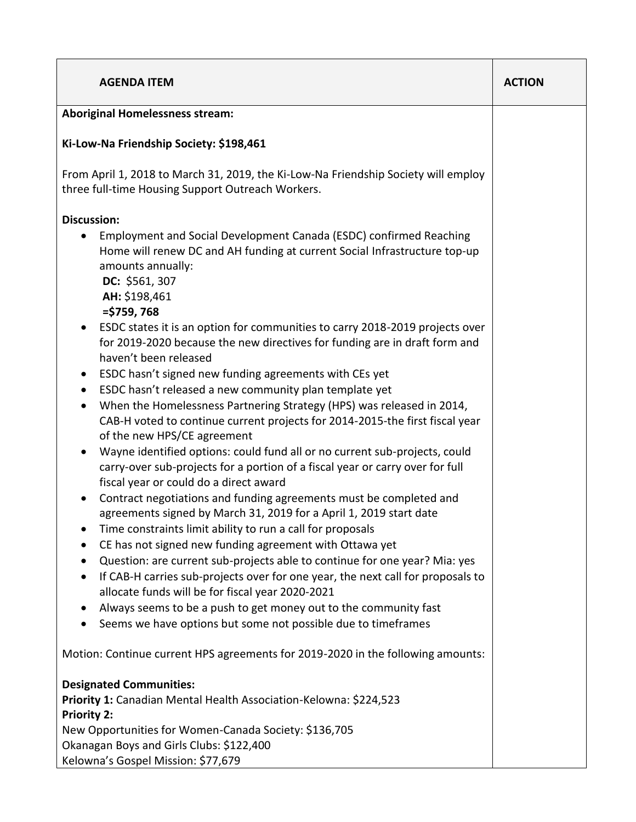| <b>Aboriginal Homelessness stream:</b>                                                                                                                                                                                                                                                                                                                                                                                                                                                                                                                                                                                                                                                                                                                                                                                                                                                                                                                                                                                                                                                                                                                                                                                                                                                                                                                                                                                                                                                                                                                                                                                                                                        |  |
|-------------------------------------------------------------------------------------------------------------------------------------------------------------------------------------------------------------------------------------------------------------------------------------------------------------------------------------------------------------------------------------------------------------------------------------------------------------------------------------------------------------------------------------------------------------------------------------------------------------------------------------------------------------------------------------------------------------------------------------------------------------------------------------------------------------------------------------------------------------------------------------------------------------------------------------------------------------------------------------------------------------------------------------------------------------------------------------------------------------------------------------------------------------------------------------------------------------------------------------------------------------------------------------------------------------------------------------------------------------------------------------------------------------------------------------------------------------------------------------------------------------------------------------------------------------------------------------------------------------------------------------------------------------------------------|--|
|                                                                                                                                                                                                                                                                                                                                                                                                                                                                                                                                                                                                                                                                                                                                                                                                                                                                                                                                                                                                                                                                                                                                                                                                                                                                                                                                                                                                                                                                                                                                                                                                                                                                               |  |
| Ki-Low-Na Friendship Society: \$198,461                                                                                                                                                                                                                                                                                                                                                                                                                                                                                                                                                                                                                                                                                                                                                                                                                                                                                                                                                                                                                                                                                                                                                                                                                                                                                                                                                                                                                                                                                                                                                                                                                                       |  |
| From April 1, 2018 to March 31, 2019, the Ki-Low-Na Friendship Society will employ<br>three full-time Housing Support Outreach Workers.                                                                                                                                                                                                                                                                                                                                                                                                                                                                                                                                                                                                                                                                                                                                                                                                                                                                                                                                                                                                                                                                                                                                                                                                                                                                                                                                                                                                                                                                                                                                       |  |
| <b>Discussion:</b><br>Employment and Social Development Canada (ESDC) confirmed Reaching<br>Home will renew DC and AH funding at current Social Infrastructure top-up<br>amounts annually:<br>DC: \$561, 307<br>AH: \$198,461<br>$=$ \$759, 768<br>ESDC states it is an option for communities to carry 2018-2019 projects over<br>$\bullet$<br>for 2019-2020 because the new directives for funding are in draft form and<br>haven't been released<br>ESDC hasn't signed new funding agreements with CEs yet<br>$\bullet$<br>ESDC hasn't released a new community plan template yet<br>٠<br>When the Homelessness Partnering Strategy (HPS) was released in 2014,<br>$\bullet$<br>CAB-H voted to continue current projects for 2014-2015-the first fiscal year<br>of the new HPS/CE agreement<br>Wayne identified options: could fund all or no current sub-projects, could<br>$\bullet$<br>carry-over sub-projects for a portion of a fiscal year or carry over for full<br>fiscal year or could do a direct award<br>Contract negotiations and funding agreements must be completed and<br>$\bullet$<br>agreements signed by March 31, 2019 for a April 1, 2019 start date<br>Time constraints limit ability to run a call for proposals<br>CE has not signed new funding agreement with Ottawa yet<br>Question: are current sub-projects able to continue for one year? Mia: yes<br>If CAB-H carries sub-projects over for one year, the next call for proposals to<br>$\bullet$<br>allocate funds will be for fiscal year 2020-2021<br>Always seems to be a push to get money out to the community fast<br>Seems we have options but some not possible due to timeframes |  |
| Motion: Continue current HPS agreements for 2019-2020 in the following amounts:                                                                                                                                                                                                                                                                                                                                                                                                                                                                                                                                                                                                                                                                                                                                                                                                                                                                                                                                                                                                                                                                                                                                                                                                                                                                                                                                                                                                                                                                                                                                                                                               |  |
| <b>Designated Communities:</b><br>Priority 1: Canadian Mental Health Association-Kelowna: \$224,523<br><b>Priority 2:</b><br>New Opportunities for Women-Canada Society: \$136,705<br>Okanagan Boys and Girls Clubs: \$122,400<br>Kelowna's Gospel Mission: \$77,679                                                                                                                                                                                                                                                                                                                                                                                                                                                                                                                                                                                                                                                                                                                                                                                                                                                                                                                                                                                                                                                                                                                                                                                                                                                                                                                                                                                                          |  |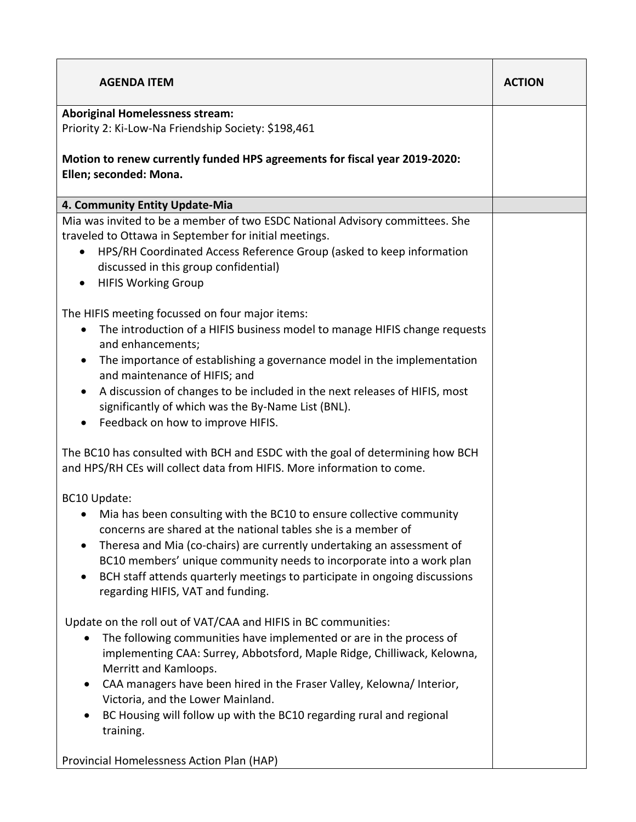| <b>AGENDA ITEM</b>                                                                                                                                                                                                                                                                                                                                                                                                                                                                        | <b>ACTION</b> |
|-------------------------------------------------------------------------------------------------------------------------------------------------------------------------------------------------------------------------------------------------------------------------------------------------------------------------------------------------------------------------------------------------------------------------------------------------------------------------------------------|---------------|
| <b>Aboriginal Homelessness stream:</b>                                                                                                                                                                                                                                                                                                                                                                                                                                                    |               |
| Priority 2: Ki-Low-Na Friendship Society: \$198,461                                                                                                                                                                                                                                                                                                                                                                                                                                       |               |
| Motion to renew currently funded HPS agreements for fiscal year 2019-2020:<br>Ellen; seconded: Mona.                                                                                                                                                                                                                                                                                                                                                                                      |               |
| 4. Community Entity Update-Mia                                                                                                                                                                                                                                                                                                                                                                                                                                                            |               |
| Mia was invited to be a member of two ESDC National Advisory committees. She<br>traveled to Ottawa in September for initial meetings.<br>HPS/RH Coordinated Access Reference Group (asked to keep information<br>$\bullet$<br>discussed in this group confidential)<br><b>HIFIS Working Group</b><br>$\bullet$                                                                                                                                                                            |               |
| The HIFIS meeting focussed on four major items:<br>The introduction of a HIFIS business model to manage HIFIS change requests<br>$\bullet$<br>and enhancements;<br>The importance of establishing a governance model in the implementation<br>$\bullet$<br>and maintenance of HIFIS; and<br>A discussion of changes to be included in the next releases of HIFIS, most<br>$\bullet$<br>significantly of which was the By-Name List (BNL).<br>Feedback on how to improve HIFIS.            |               |
| The BC10 has consulted with BCH and ESDC with the goal of determining how BCH<br>and HPS/RH CEs will collect data from HIFIS. More information to come.                                                                                                                                                                                                                                                                                                                                   |               |
| BC10 Update:<br>Mia has been consulting with the BC10 to ensure collective community<br>concerns are shared at the national tables she is a member of<br>Theresa and Mia (co-chairs) are currently undertaking an assessment of<br>BC10 members' unique community needs to incorporate into a work plan<br>BCH staff attends quarterly meetings to participate in ongoing discussions<br>$\bullet$<br>regarding HIFIS, VAT and funding.                                                   |               |
| Update on the roll out of VAT/CAA and HIFIS in BC communities:<br>The following communities have implemented or are in the process of<br>implementing CAA: Surrey, Abbotsford, Maple Ridge, Chilliwack, Kelowna,<br>Merritt and Kamloops.<br>CAA managers have been hired in the Fraser Valley, Kelowna/ Interior,<br>Victoria, and the Lower Mainland.<br>BC Housing will follow up with the BC10 regarding rural and regional<br>training.<br>Provincial Homelessness Action Plan (HAP) |               |